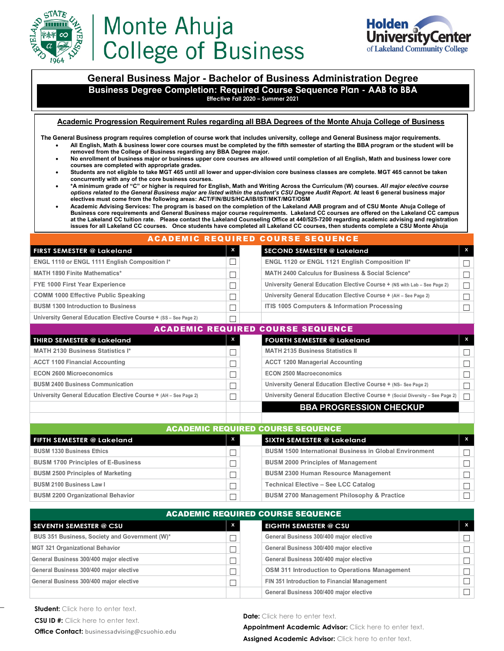

# Monte Ahuja **College of Business**



**General Business Major - Bachelor of Business Administration Degree Business Degree Completion: Required Course Sequence Plan - AAB to BBA Effective Fall 2020 – Summer 2021**

**Academic Progression Requirement Rules regarding all BBA Degrees of the Monte Ahuja College of Business**

**The General Business program requires completion of course work that includes university, college and General Business major requirements.** • **All English, Math & business lower core courses must be completed by the fifth semester of starting the BBA program or the student will be** 

- **removed from the College of Business regarding any BBA Degree major.**
- **No enrollment of business major or business upper core courses are allowed until completion of all English, Math and business lower core courses are completed with appropriate grades.**
- **Students are not eligible to take MGT 465 until all lower and upper-division core business classes are complete. MGT 465 cannot be taken concurrently with any of the core business courses.**
- **\*A minimum grade of "C" or higher is required for English, Math and Writing Across the Curriculum (W) courses.** *All major elective course options related to the General Business major are listed within the student's CSU Degree Audit Report.* **At least 6 general business major electives must come from the following areas: ACT/FIN/BUS/HCA/IB/IST/MKT/MGT/OSM**
- **Academic Advising Services: The program is based on the completion of the Lakeland AAB program and of CSU Monte Ahuja College of Business core requirements and General Business major course requirements. Lakeland CC courses are offered on the Lakeland CC campus at the Lakeland CC tuition rate. Please contact the Lakeland Counseling Office at 440/525-7200 regarding academic advising and registration issues for all Lakeland CC courses. Once students have completed all Lakeland CC courses, then students complete a CSU Monte Ahuja**

ACADEMIC REQUIRED COURSE SEQUENCE

| <b>FIRST SEMESTER @ Lakeland</b>                                 | $\boldsymbol{\mathsf{x}}$ | SECOND SEMESTER @ Lakeland                                                | $\mathbf{x}$ |
|------------------------------------------------------------------|---------------------------|---------------------------------------------------------------------------|--------------|
| ENGL 1110 or ENGL 1111 English Composition I*                    |                           | ENGL 1120 or ENGL 1121 English Composition II*                            |              |
| <b>MATH 1890 Finite Mathematics*</b>                             |                           | MATH 2400 Calculus for Business & Social Science*                         |              |
| FYE 1000 First Year Experience                                   |                           | University General Education Elective Course + (NS with Lab - See Page 2) | $\Box$       |
| <b>COMM 1000 Effective Public Speaking</b>                       |                           | University General Education Elective Course + (AH - See Page 2)          |              |
| <b>BUSM 1300 Introduction to Business</b>                        |                           | ITIS 1005 Computers & Information Processing                              |              |
| University General Education Elective Course + (SS - See Page 2) |                           |                                                                           |              |

| <b>ACADEMIC REQUIRED COURSE SEQUENCE.</b>                        |   |                                                                                |   |  |
|------------------------------------------------------------------|---|--------------------------------------------------------------------------------|---|--|
| THIRD SEMESTER @ Lakeland                                        | X | <b>FOURTH SEMESTER @ Lakeland</b>                                              | x |  |
| <b>MATH 2130 Business Statistics I*</b>                          |   | <b>MATH 2135 Business Statistics II</b>                                        |   |  |
| <b>ACCT 1100 Financial Accounting</b>                            |   | <b>ACCT 1200 Managerial Accounting</b>                                         |   |  |
| <b>ECON 2600 Microeconomics</b>                                  |   | <b>ECON 2500 Macroeconomics</b>                                                |   |  |
| <b>BUSM 2400 Business Communication</b>                          |   | University General Education Elective Course + (NS- See Page 2)                |   |  |
| University General Education Elective Course + (AH - See Page 2) |   | University General Education Elective Course + (Social Diversity - See Page 2) |   |  |
|                                                                  |   | <b>BBA PROGRESSION CHECKUP</b>                                                 |   |  |

| <b>ACADEMIC REQUIRED COURSE SEQUENCE</b>  |                           |                                                               |    |  |
|-------------------------------------------|---------------------------|---------------------------------------------------------------|----|--|
| l FIFTH SEMESTER @ Lakeland               | $\boldsymbol{\mathsf{x}}$ | <b>SIXTH SEMESTER @ Lakeland</b>                              | X. |  |
| <b>BUSM 1330 Business Ethics</b>          |                           | <b>BUSM 1500 International Business in Global Environment</b> |    |  |
| <b>BUSM 1700 Principles of E-Business</b> |                           | <b>BUSM 2000 Principles of Management</b>                     |    |  |
| <b>BUSM 2500 Principles of Marketing</b>  |                           | <b>BUSM 2300 Human Resource Management</b>                    |    |  |
| <b>BUSM 2100 Business Law I</b>           |                           | <b>Technical Elective - See LCC Catalog</b>                   |    |  |
| <b>BUSM 2200 Organizational Behavior</b>  |                           | <b>BUSM 2700 Management Philosophy &amp; Practice</b>         |    |  |

| <b>ACADEMIC REQUIRED COURSE SEQUENCE</b>      |              |                                               |    |  |
|-----------------------------------------------|--------------|-----------------------------------------------|----|--|
| <b>SEVENTH SEMESTER @ CSU</b>                 | $\mathbf{x}$ | <b>EIGHTH SEMESTER @ CSU</b>                  | X. |  |
| BUS 351 Business, Society and Government (W)* |              | General Business 300/400 major elective       |    |  |
| MGT 321 Organizational Behavior               |              | General Business 300/400 major elective       |    |  |
| General Business 300/400 major elective       |              | General Business 300/400 major elective       |    |  |
| General Business 300/400 major elective       |              | OSM 311 Introduction to Operations Management |    |  |
| General Business 300/400 major elective       |              | FIN 351 Introduction to Financial Management  |    |  |
|                                               |              | General Business 300/400 major elective       |    |  |

\_

Date: Click here to enter text.

**Appointment Academic Advisor:** Click here to enter text.

Assigned Academic Advisor: Click here to enter text.